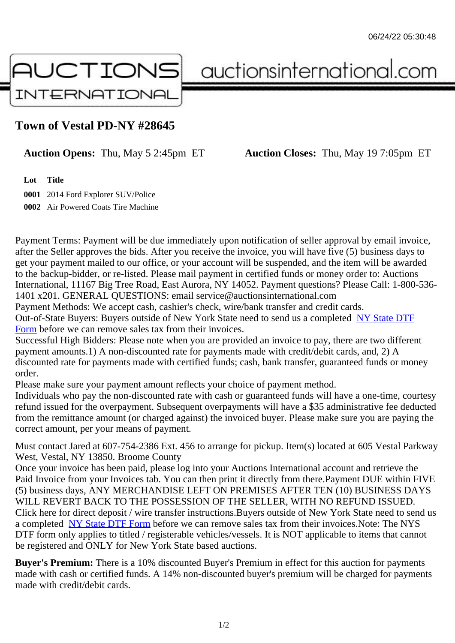## Town of Vestal PD-NY #28645

Auction Opens: Thu, May 5 2:45pm ET Auction Closes: Thu, May 19 7:05pm ET

Lot Title

0001 2014 Ford Explorer SUV/Police 0002 Air Powered Coats Tire Machine

Payment Terms: Payment will be due immediately upon notification of seller approval by email invoice, after the Seller approves the bids. After you receive the invoice, you will have five (5) business days to get your payment mailed to our office, or your account will be suspended, and the item will be awarded to the backup-bidder, or re-listed. Please mail payment in certified funds or money order to: Auctions International, 11167 Big Tree Road, East Aurora, NY 14052. Payment questions? Please Call: 1-800-53 1401 x201. GENERAL QUESTIONS: email service@auctionsinternational.com

Payment Methods: We accept cash, cashier's check, wire/bank transfer and credit cards. Out-of-State Buyers: Buyers outside of New York State need to send us a com blestate DTF Form before we can remove sales tax from their invoices.

Successful High Bidders: Please note when you are provided an invoice to pay, there are two different payment amounts.1) A non-discounted rate for payments made with credit/de[bit cards, and](https://www.auctionsinternational.com/auxiliary/downloads/DTF_Form/dtf_fill_in.pdf), 2) A [disco](https://www.auctionsinternational.com/auxiliary/downloads/DTF_Form/dtf_fill_in.pdf)unted rate for payments made with certified funds; cash, bank transfer, guaranteed funds or mone order.

Please make sure your payment amount reflects your choice of payment method.

Individuals who pay the non-discounted rate with cash or quaranteed funds will have a one-time, courte refund issued for the overpayment. Subsequent overpayments will have a \$35 administrative fee deduc from the remittance amount (or charged against) the invoiced buyer. Please make sure you are paying correct amount, per your means of payment.

Must contact Jared at 607-754-2386 Ext. 456 to arrange for pickup. Item(s) located at 605 Vestal Parkv West, Vestal, NY 13850. Broome County

Once your invoice has been paid, please log into your Auctions International account and retrieve the Paid Invoice from your Invoices tab. You can then print it directly from there.Payment DUE within FIVE (5) business days, ANY MERCHANDISE LEFT ON PREMISES AFTER TEN (10) BUSINESS DAYS WILL REVERT BACK TO THE POSSESSION OF THE SELLER, WITH NO REFUND ISSUED. Click here for direct deposit / wire transfer instructions. Buyers outside of New York State need to send use a completed NY State DTF Form before we can remove sales tax from their invoices. Note: The NYS DTF form only applies to titled / registerable vehicles/vessels. It is NOT applicable to items that cannot be registered and ONLY for New York State based auctions.

Buyer's Pre[mium: There is a 10](https://www.auctionsinternational.com/auxiliary/downloads/DTF_Form/dtf_fill_in.pdf)% discounted Buyer's Premium in effect for this auction for payments made with cash or certified funds. A 14% non-discounted buyer's premium will be charged for payments made with credit/debit cards.